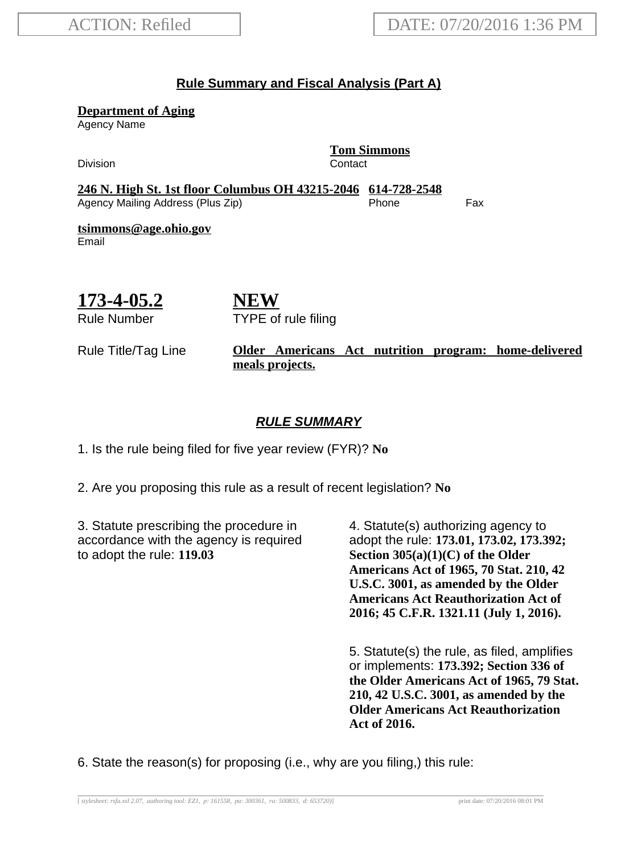#### **Rule Summary and Fiscal Analysis (Part A)**

**Department of Aging**

Agency Name

Division **Contact** 

**Tom Simmons**

**246 N. High St. 1st floor Columbus OH 43215-2046 614-728-2548** Agency Mailing Address (Plus Zip) entitled the Separate Control of the Fax

**tsimmons@age.ohio.gov** Email

# **173-4-05.2**

Rule Number

**NEW** TYPE of rule filing

#### Rule Title/Tag Line **Older Americans Act nutrition program: home-delivered meals projects.**

### **RULE SUMMARY**

1. Is the rule being filed for five year review (FYR)? **No**

2. Are you proposing this rule as a result of recent legislation? **No**

3. Statute prescribing the procedure in accordance with the agency is required to adopt the rule: **119.03**

4. Statute(s) authorizing agency to adopt the rule: **173.01, 173.02, 173.392; Section 305(a)(1)(C) of the Older Americans Act of 1965, 70 Stat. 210, 42 U.S.C. 3001, as amended by the Older Americans Act Reauthorization Act of 2016; 45 C.F.R. 1321.11 (July 1, 2016).**

5. Statute(s) the rule, as filed, amplifies or implements: **173.392; Section 336 of the Older Americans Act of 1965, 79 Stat. 210, 42 U.S.C. 3001, as amended by the Older Americans Act Reauthorization Act of 2016.**

6. State the reason(s) for proposing (i.e., why are you filing,) this rule: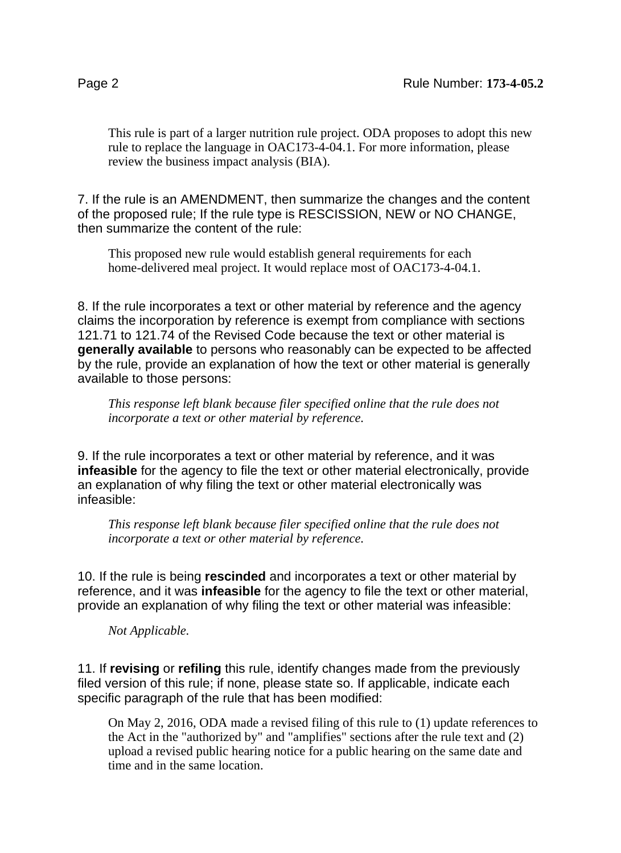This rule is part of a larger nutrition rule project. ODA proposes to adopt this new rule to replace the language in OAC173-4-04.1. For more information, please review the business impact analysis (BIA).

7. If the rule is an AMENDMENT, then summarize the changes and the content of the proposed rule; If the rule type is RESCISSION, NEW or NO CHANGE, then summarize the content of the rule:

This proposed new rule would establish general requirements for each home-delivered meal project. It would replace most of OAC173-4-04.1.

8. If the rule incorporates a text or other material by reference and the agency claims the incorporation by reference is exempt from compliance with sections 121.71 to 121.74 of the Revised Code because the text or other material is **generally available** to persons who reasonably can be expected to be affected by the rule, provide an explanation of how the text or other material is generally available to those persons:

*This response left blank because filer specified online that the rule does not incorporate a text or other material by reference.*

9. If the rule incorporates a text or other material by reference, and it was **infeasible** for the agency to file the text or other material electronically, provide an explanation of why filing the text or other material electronically was infeasible:

*This response left blank because filer specified online that the rule does not incorporate a text or other material by reference.*

10. If the rule is being **rescinded** and incorporates a text or other material by reference, and it was **infeasible** for the agency to file the text or other material, provide an explanation of why filing the text or other material was infeasible:

*Not Applicable.*

11. If **revising** or **refiling** this rule, identify changes made from the previously filed version of this rule; if none, please state so. If applicable, indicate each specific paragraph of the rule that has been modified:

On May 2, 2016, ODA made a revised filing of this rule to (1) update references to the Act in the "authorized by" and "amplifies" sections after the rule text and (2) upload a revised public hearing notice for a public hearing on the same date and time and in the same location.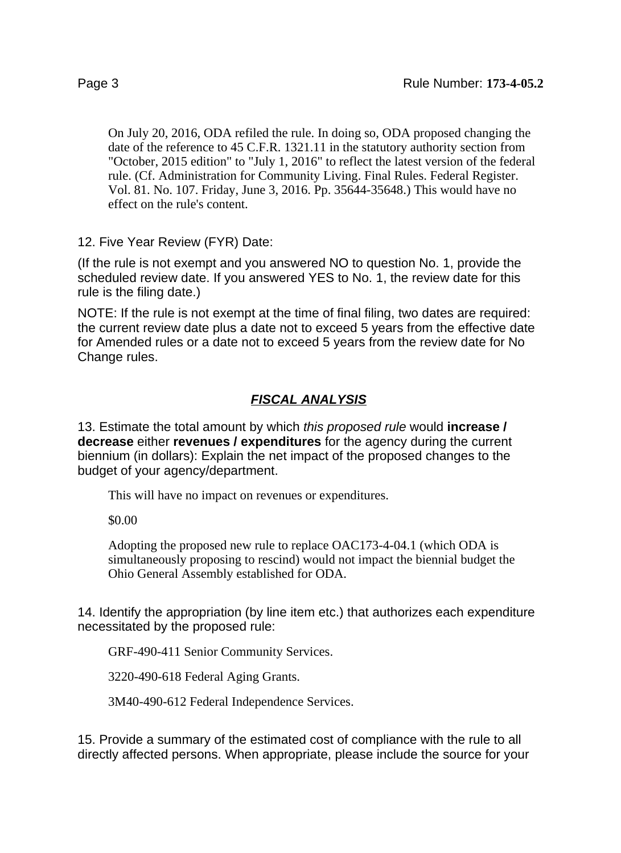On July 20, 2016, ODA refiled the rule. In doing so, ODA proposed changing the date of the reference to 45 C.F.R. 1321.11 in the statutory authority section from "October, 2015 edition" to "July 1, 2016" to reflect the latest version of the federal rule. (Cf. Administration for Community Living. Final Rules. Federal Register. Vol. 81. No. 107. Friday, June 3, 2016. Pp. 35644-35648.) This would have no effect on the rule's content.

12. Five Year Review (FYR) Date:

(If the rule is not exempt and you answered NO to question No. 1, provide the scheduled review date. If you answered YES to No. 1, the review date for this rule is the filing date.)

NOTE: If the rule is not exempt at the time of final filing, two dates are required: the current review date plus a date not to exceed 5 years from the effective date for Amended rules or a date not to exceed 5 years from the review date for No Change rules.

# **FISCAL ANALYSIS**

13. Estimate the total amount by which this proposed rule would **increase / decrease** either **revenues / expenditures** for the agency during the current biennium (in dollars): Explain the net impact of the proposed changes to the budget of your agency/department.

This will have no impact on revenues or expenditures.

\$0.00

Adopting the proposed new rule to replace OAC173-4-04.1 (which ODA is simultaneously proposing to rescind) would not impact the biennial budget the Ohio General Assembly established for ODA.

14. Identify the appropriation (by line item etc.) that authorizes each expenditure necessitated by the proposed rule:

GRF-490-411 Senior Community Services.

3220-490-618 Federal Aging Grants.

3M40-490-612 Federal Independence Services.

15. Provide a summary of the estimated cost of compliance with the rule to all directly affected persons. When appropriate, please include the source for your